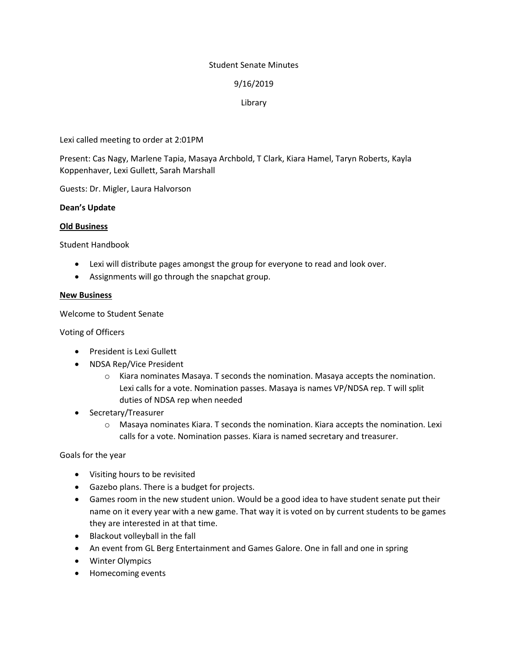### Student Senate Minutes

# 9/16/2019

# Library

Lexi called meeting to order at 2:01PM

Present: Cas Nagy, Marlene Tapia, Masaya Archbold, T Clark, Kiara Hamel, Taryn Roberts, Kayla Koppenhaver, Lexi Gullett, Sarah Marshall

Guests: Dr. Migler, Laura Halvorson

### **Dean's Update**

### **Old Business**

Student Handbook

- Lexi will distribute pages amongst the group for everyone to read and look over.
- Assignments will go through the snapchat group.

### **New Business**

Welcome to Student Senate

Voting of Officers

- **•** President is Lexi Gullett
- NDSA Rep/Vice President
	- $\circ$  Kiara nominates Masaya. T seconds the nomination. Masaya accepts the nomination. Lexi calls for a vote. Nomination passes. Masaya is names VP/NDSA rep. T will split duties of NDSA rep when needed
- Secretary/Treasurer
	- $\circ$  Masaya nominates Kiara. T seconds the nomination. Kiara accepts the nomination. Lexi calls for a vote. Nomination passes. Kiara is named secretary and treasurer.

Goals for the year

- Visiting hours to be revisited
- Gazebo plans. There is a budget for projects.
- Games room in the new student union. Would be a good idea to have student senate put their name on it every year with a new game. That way it is voted on by current students to be games they are interested in at that time.
- Blackout volleyball in the fall
- An event from GL Berg Entertainment and Games Galore. One in fall and one in spring
- Winter Olympics
- Homecoming events